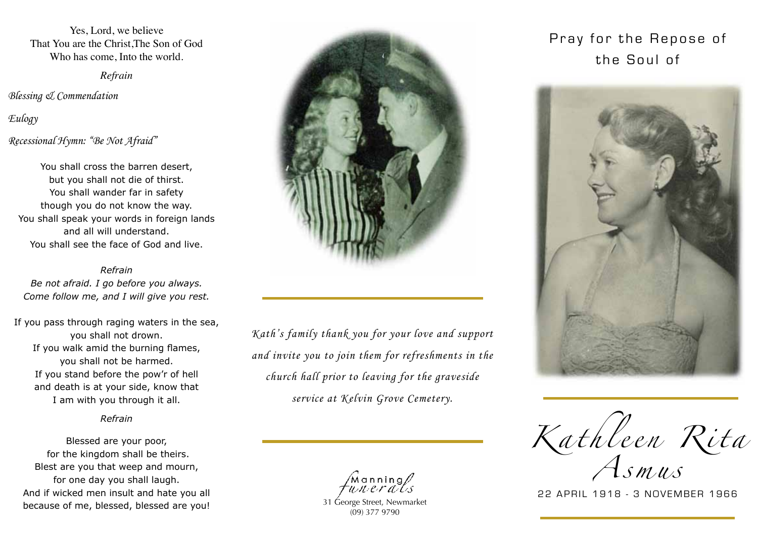Yes, Lord, we believe That You are the Christ,The Son of God Who has come, Into the world.

*Refrain*

*Blessing & Commendation*

*Eulogy Recessional Hymn: "Be Not Afraid"*

You shall cross the barren desert, but you shall not die of thirst. You shall wander far in safety though you do not know the way. You shall speak your words in foreign lands and all will understand. You shall see the face of God and live.

*Refrain Be not afraid. I go before you always. Come follow me, and I will give you rest.*

If you pass through raging waters in the sea, you shall not drown. If you walk amid the burning flames, you shall not be harmed. If you stand before the pow'r of hell and death is at your side, know that I am with you through it all.

### *Refrain*

Blessed are your poor, for the kingdom shall be theirs. Blest are you that weep and mourn, for one day you shall laugh. And if wicked men insult and hate you all because of me, blessed, blessed are you!



*Kath's family thank you for your love and support and invite you to join them for refreshments in the church hall prior to leaving for the graveside service at Kelvin Grove Cemetery.*

Manning<br>Witerals

31 George Street, Newmarket (09) 377 9790

# Pray for the Repose of the Soul of



Karnier Rita

*A s m u s*

22 APRIL 1918 - 3 NOVEMBER 1966